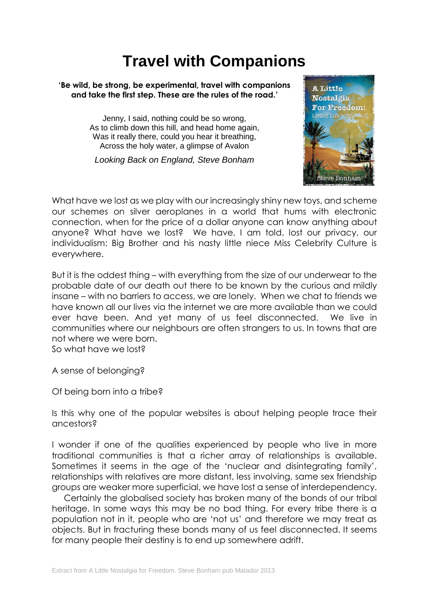## **Travel with Companions**

## **'Be wild, be strong, be experimental, travel with companions and take the first step. These are the rules of the road.'**

Jenny, I said, nothing could be so wrong, As to climb down this hill, and head home again, Was it really there, could you hear it breathing, Across the holy water, a glimpse of Avalon

*Looking Back on England, Steve Bonham*



What have we lost as we play with our increasingly shiny new toys, and scheme our schemes on silver aeroplanes in a world that hums with electronic connection, when for the price of a dollar anyone can know anything about anyone? What have we lost? We have, I am told, lost our privacy, our individualism: Big Brother and his nasty little niece Miss Celebrity Culture is everywhere.

But it is the oddest thing – with everything from the size of our underwear to the probable date of our death out there to be known by the curious and mildly insane – with no barriers to access, we are lonely. When we chat to friends we have known all our lives via the internet we are more available than we could ever have been. And yet many of us feel disconnected. We live in communities where our neighbours are often strangers to us. In towns that are not where we were born.

So what have we lost?

A sense of belonging?

Of being born into a tribe?

Is this why one of the popular websites is about helping people trace their ancestors?

I wonder if one of the qualities experienced by people who live in more traditional communities is that a richer array of relationships is available. Sometimes it seems in the age of the 'nuclear and disintegrating family', relationships with relatives are more distant, less involving, same sex friendship groups are weaker more superficial, we have lost a sense of interdependency.

 Certainly the globalised society has broken many of the bonds of our tribal heritage. In some ways this may be no bad thing. For every tribe there is a population not in it, people who are 'not us' and therefore we may treat as objects. But in fracturing these bonds many of us feel disconnected. It seems for many people their destiny is to end up somewhere adrift.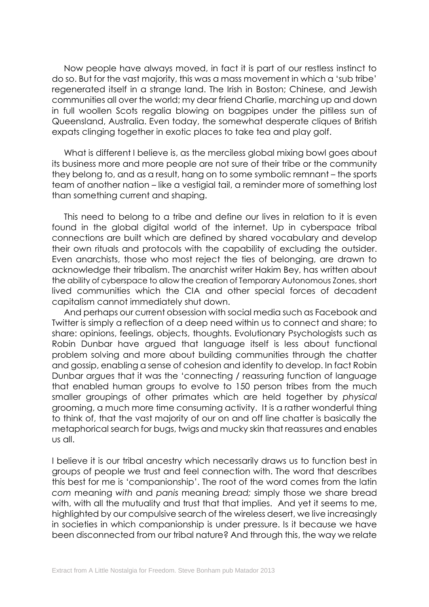Now people have always moved, in fact it is part of our restless instinct to do so. But for the vast majority, this was a mass movement in which a 'sub tribe' regenerated itself in a strange land. The Irish in Boston; Chinese, and Jewish communities all over the world; my dear friend Charlie, marching up and down in full woollen Scots regalia blowing on bagpipes under the pitiless sun of Queensland, Australia. Even today, the somewhat desperate cliques of British expats clinging together in exotic places to take tea and play golf.

 What is different I believe is, as the merciless global mixing bowl goes about its business more and more people are not sure of their tribe or the community they belong to, and as a result, hang on to some symbolic remnant – the sports team of another nation – like a vestigial tail, a reminder more of something lost than something current and shaping.

 This need to belong to a tribe and define our lives in relation to it is even found in the global digital world of the internet. Up in cyberspace tribal connections are built which are defined by shared vocabulary and develop their own rituals and protocols with the capability of excluding the outsider. Even anarchists, those who most reject the ties of belonging, are drawn to acknowledge their tribalism. The anarchist writer Hakim Bey, has written about the ability of cyberspace to allow the creation of Temporary Autonomous Zones, short lived communities which the CIA and other special forces of decadent capitalism cannot immediately shut down.

 And perhaps our current obsession with social media such as Facebook and Twitter is simply a reflection of a deep need within us to connect and share; to share: opinions, feelings, objects, thoughts. Evolutionary Psychologists such as Robin Dunbar have argued that language itself is less about functional problem solving and more about building communities through the chatter and gossip, enabling a sense of cohesion and identity to develop. In fact Robin Dunbar argues that it was the 'connecting / reassuring function of language that enabled human groups to evolve to 150 person tribes from the much smaller groupings of other primates which are held together by *physical*  grooming, a much more time consuming activity. It is a rather wonderful thing to think of, that the vast majority of our on and off line chatter is basically the metaphorical search for bugs, twigs and mucky skin that reassures and enables us all.

I believe it is our tribal ancestry which necessarily draws us to function best in groups of people we trust and feel connection with. The word that describes this best for me is 'companionship'. The root of the word comes from the latin *com* meaning *with* and *panis* meaning *bread;* simply those we share bread with, with all the mutuality and trust that that implies. And yet it seems to me, highlighted by our compulsive search of the wireless desert, we live increasingly in societies in which companionship is under pressure. Is it because we have been disconnected from our tribal nature? And through this, the way we relate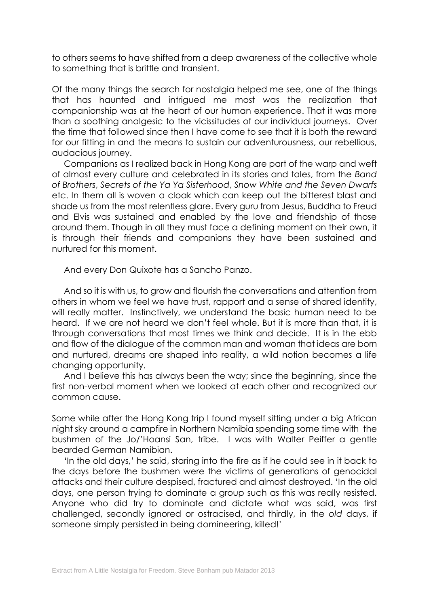to others seems to have shifted from a deep awareness of the collective whole to something that is brittle and transient.

Of the many things the search for nostalgia helped me see, one of the things that has haunted and intrigued me most was the realization that companionship was at the heart of our human experience. That it was more than a soothing analgesic to the vicissitudes of our individual journeys. Over the time that followed since then I have come to see that it is both the reward for our fitting in and the means to sustain our adventurousness, our rebellious, audacious journey.

 Companions as I realized back in Hong Kong are part of the warp and weft of almost every culture and celebrated in its stories and tales, from the *Band of Brothers*, *Secrets of the Ya Ya Sisterhood*, *Snow White and the Seven Dwarfs* etc. In them all is woven a cloak which can keep out the bitterest blast and shade us from the most relentless glare. Every guru from Jesus, Buddha to Freud and Elvis was sustained and enabled by the love and friendship of those around them. Though in all they must face a defining moment on their own, it is through their friends and companions they have been sustained and nurtured for this moment.

And every Don Quixote has a Sancho Panzo.

 And so it is with us, to grow and flourish the conversations and attention from others in whom we feel we have trust, rapport and a sense of shared identity, will really matter. Instinctively, we understand the basic human need to be heard. If we are not heard we don't feel whole. But it is more than that, it is through conversations that most times we think and decide. It is in the ebb and flow of the dialogue of the common man and woman that ideas are born and nurtured, dreams are shaped into reality, a wild notion becomes a life changing opportunity.

 And I believe this has always been the way; since the beginning, since the first non-verbal moment when we looked at each other and recognized our common cause.

Some while after the Hong Kong trip I found myself sitting under a big African night sky around a campfire in Northern Namibia spending some time with the bushmen of the Jo/'Hoansi San, tribe. I was with Walter Peiffer a gentle bearded German Namibian.

 'In the old days,' he said, staring into the fire as if he could see in it back to the days before the bushmen were the victims of generations of genocidal attacks and their culture despised, fractured and almost destroyed. 'In the old days, one person trying to dominate a group such as this was really resisted. Anyone who did try to dominate and dictate what was said, was first challenged, secondly ignored or ostracised, and thirdly, in the *old* days, if someone simply persisted in being domineering, killed!'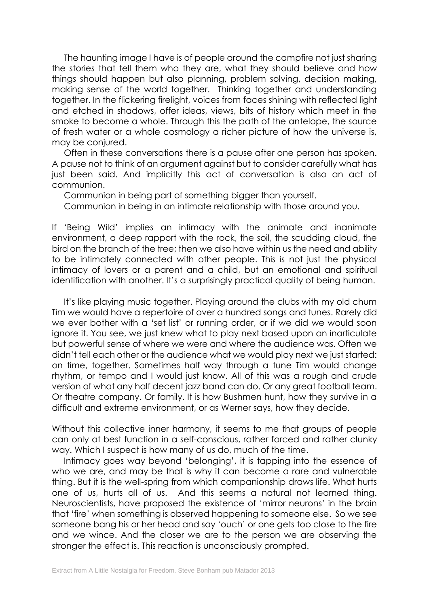The haunting image I have is of people around the campfire not just sharing the stories that tell them who they are, what they should believe and how things should happen but also planning, problem solving, decision making, making sense of the world together. Thinking together and understanding together. In the flickering firelight, voices from faces shining with reflected light and etched in shadows, offer ideas, views, bits of history which meet in the smoke to become a whole. Through this the path of the antelope, the source of fresh water or a whole cosmology a richer picture of how the universe is, may be conjured.

 Often in these conversations there is a pause after one person has spoken. A pause not to think of an argument against but to consider carefully what has just been said. And implicitly this act of conversation is also an act of communion.

Communion in being part of something bigger than yourself.

Communion in being in an intimate relationship with those around you.

If 'Being Wild' implies an intimacy with the animate and inanimate environment, a deep rapport with the rock, the soil, the scudding cloud, the bird on the branch of the tree; then we also have within us the need and ability to be intimately connected with other people. This is not just the physical intimacy of lovers or a parent and a child, but an emotional and spiritual identification with another. It's a surprisingly practical quality of being human.

 It's like playing music together. Playing around the clubs with my old chum Tim we would have a repertoire of over a hundred songs and tunes. Rarely did we ever bother with a 'set list' or running order, or if we did we would soon ignore it. You see, we just knew what to play next based upon an inarticulate but powerful sense of where we were and where the audience was. Often we didn't tell each other or the audience what we would play next we just started: on time, together. Sometimes half way through a tune Tim would change rhythm, or tempo and I would just know. All of this was a rough and crude version of what any half decent jazz band can do. Or any great football team. Or theatre company. Or family. It is how Bushmen hunt, how they survive in a difficult and extreme environment, or as Werner says, how they decide.

Without this collective inner harmony, it seems to me that groups of people can only at best function in a self-conscious, rather forced and rather clunky way. Which I suspect is how many of us do, much of the time.

 Intimacy goes way beyond 'belonging', it is tapping into the essence of who we are, and may be that is why it can become a rare and vulnerable thing. But it is the well-spring from which companionship draws life. What hurts one of us, hurts all of us. And this seems a natural not learned thing. Neuroscientists, have proposed the existence of 'mirror neurons' in the brain that 'fire' when something is observed happening to someone else. So we see someone bang his or her head and say 'ouch' or one gets too close to the fire and we wince. And the closer we are to the person we are observing the stronger the effect is. This reaction is unconsciously prompted.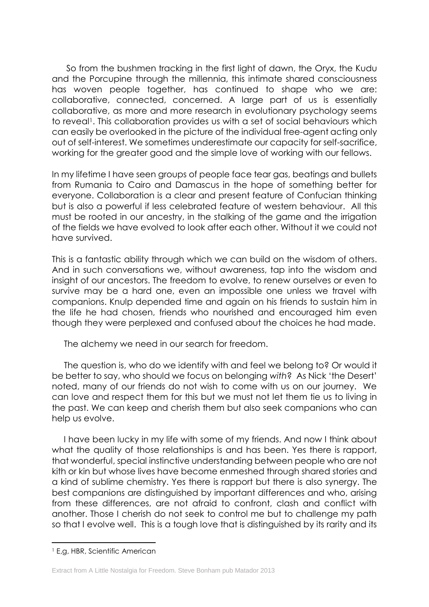So from the bushmen tracking in the first light of dawn, the Oryx, the Kudu and the Porcupine through the millennia, this intimate shared consciousness has woven people together, has continued to shape who we are: collaborative, connected, concerned. A large part of us is essentially collaborative, as more and more research in evolutionary psychology seems to reveal<sup>1</sup>. This collaboration provides us with a set of social behaviours which can easily be overlooked in the picture of the individual free-agent acting only out of self-interest. We sometimes underestimate our capacity for self-sacrifice, working for the greater good and the simple love of working with our fellows.

In my lifetime I have seen groups of people face tear gas, beatings and bullets from Rumania to Cairo and Damascus in the hope of something better for everyone. Collaboration is a clear and present feature of Confucian thinking but is also a powerful if less celebrated feature of western behaviour. All this must be rooted in our ancestry, in the stalking of the game and the irrigation of the fields we have evolved to look after each other. Without it we could not have survived.

This is a fantastic ability through which we can build on the wisdom of others. And in such conversations we, without awareness, tap into the wisdom and insight of our ancestors. The freedom to evolve, to renew ourselves or even to survive may be a hard one, even an impossible one unless we travel with companions. Knulp depended time and again on his friends to sustain him in the life he had chosen, friends who nourished and encouraged him even though they were perplexed and confused about the choices he had made.

The alchemy we need in our search for freedom.

 The question is, who do we identify with and feel we belong to? Or would it be better to say, who should we focus on belonging *with*?As Nick 'the Desert' noted, many of our friends do not wish to come with us on our journey. We can love and respect them for this but we must not let them tie us to living in the past. We can keep and cherish them but also seek companions who can help us evolve.

 I have been lucky in my life with some of my friends. And now I think about what the quality of those relationships is and has been. Yes there is rapport, that wonderful, special instinctive understanding between people who are not kith or kin but whose lives have become enmeshed through shared stories and a kind of sublime chemistry. Yes there is rapport but there is also synergy. The best companions are distinguished by important differences and who, arising from these differences, are not afraid to confront, clash and conflict with another. Those I cherish do not seek to control me but to challenge my path so that I evolve well. This is a tough love that is distinguished by its rarity and its

-

<sup>1</sup> E,g, HBR, Scientific American

Extract from A Little Nostalgia for Freedom. Steve Bonham pub Matador 2013